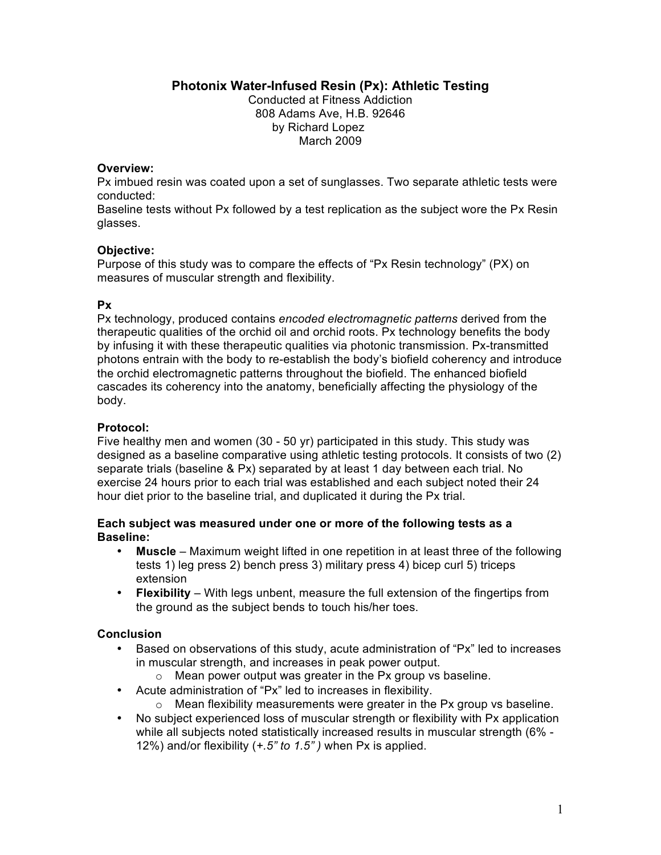**Photonix Water-Infused Resin (Px): Athletic Testing**

Conducted at Fitness Addiction 808 Adams Ave, H.B. 92646 by Richard Lopez March 2009

### **Overview:**

Px imbued resin was coated upon a set of sunglasses. Two separate athletic tests were conducted:

Baseline tests without Px followed by a test replication as the subject wore the Px Resin glasses.

# **Objective:**

Purpose of this study was to compare the effects of "Px Resin technology" (PX) on measures of muscular strength and flexibility.

# **Px**

Px technology, produced contains *encoded electromagnetic patterns* derived from the therapeutic qualities of the orchid oil and orchid roots. Px technology benefits the body by infusing it with these therapeutic qualities via photonic transmission. Px-transmitted photons entrain with the body to re-establish the body's biofield coherency and introduce the orchid electromagnetic patterns throughout the biofield. The enhanced biofield cascades its coherency into the anatomy, beneficially affecting the physiology of the body.

# **Protocol:**

Five healthy men and women (30 - 50 yr) participated in this study. This study was designed as a baseline comparative using athletic testing protocols. It consists of two (2) separate trials (baseline & Px) separated by at least 1 day between each trial. No exercise 24 hours prior to each trial was established and each subject noted their 24 hour diet prior to the baseline trial, and duplicated it during the Px trial.

### **Each subject was measured under one or more of the following tests as a Baseline:**

- **Muscle** Maximum weight lifted in one repetition in at least three of the following tests 1) leg press 2) bench press 3) military press 4) bicep curl 5) triceps extension
- **Flexibility** With legs unbent, measure the full extension of the fingertips from the ground as the subject bends to touch his/her toes.

# **Conclusion**

- Based on observations of this study, acute administration of "Px" led to increases in muscular strength, and increases in peak power output.
	- o Mean power output was greater in the Px group vs baseline.
- Acute administration of "Px" led to increases in flexibility.
	- o Mean flexibility measurements were greater in the Px group vs baseline.
- No subject experienced loss of muscular strength or flexibility with Px application while all subjects noted statistically increased results in muscular strength (6% - 12%) and/or flexibility (*+.5" to 1.5" )* when Px is applied.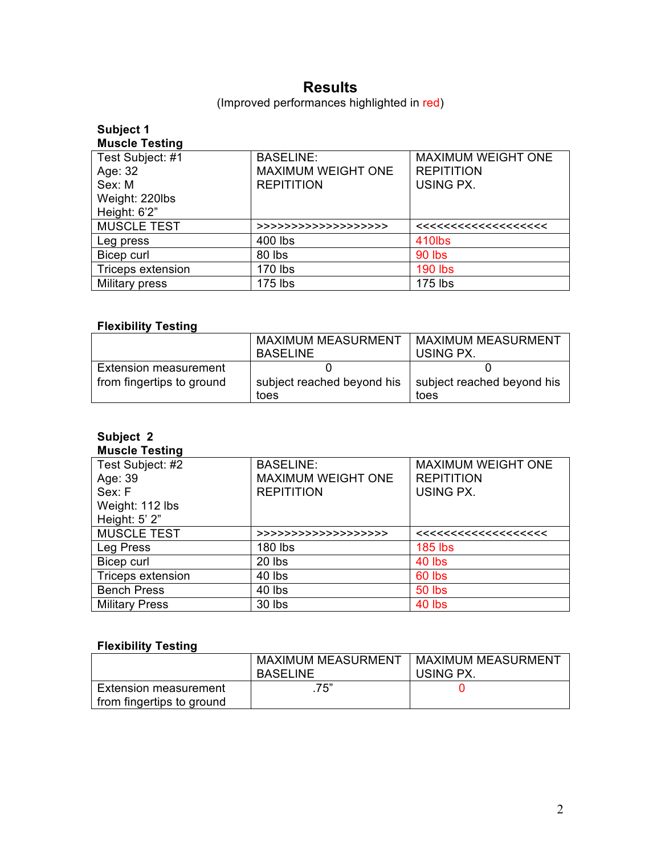# **Results**

(Improved performances highlighted in red)

| Subject 1             |                           |                           |
|-----------------------|---------------------------|---------------------------|
| <b>Muscle Testing</b> |                           |                           |
| Test Subject: #1      | <b>BASELINE:</b>          | <b>MAXIMUM WEIGHT ONE</b> |
| Age: 32               | <b>MAXIMUM WEIGHT ONE</b> | <b>REPITITION</b>         |
| Sex: M                | <b>REPITITION</b>         | USING PX.                 |
| Weight: 220lbs        |                           |                           |
| Height: 6'2"          |                           |                           |
| <b>MUSCLE TEST</b>    | >>>>>>>>>>>>>>>>>>>>>     |                           |
| Leg press             | 400 lbs                   | 410lbs                    |
| Bicep curl            | 80 lbs                    | <b>90 lbs</b>             |
| Triceps extension     | 170 lbs                   | <b>190 lbs</b>            |
| Military press        | 175 lbs                   | 175 lbs                   |

# **Flexibility Testing**

|                              | <b>MAXIMUM MEASURMENT</b><br><b>BASELINE</b> | <b>MAXIMUM MEASURMENT</b><br>USING PX. |
|------------------------------|----------------------------------------------|----------------------------------------|
| <b>Extension measurement</b> |                                              |                                        |
| from fingertips to ground    | subject reached beyond his                   | subject reached beyond his             |
|                              | toes                                         | toes                                   |

#### **Subject 2 Muscle Testing**

| Test Subject: #2         | <b>BASELINE:</b>          | <b>MAXIMUM WEIGHT ONE</b> |
|--------------------------|---------------------------|---------------------------|
| Age: 39                  | <b>MAXIMUM WEIGHT ONE</b> | <b>REPITITION</b>         |
| Sex: F                   | <b>REPITITION</b>         | USING PX.                 |
| Weight: 112 lbs          |                           |                           |
| Height: 5' 2"            |                           |                           |
| <b>MUSCLE TEST</b>       | >>>>>>>>>>>>>>>>>>>>>     |                           |
| Leg Press                | 180 lbs                   | <b>185 lbs</b>            |
| Bicep curl               | 20 lbs                    | 40 lbs                    |
| <b>Triceps extension</b> | 40 lbs                    | 60 lbs                    |
| <b>Bench Press</b>       | 40 lbs                    | <b>50 lbs</b>             |
| <b>Military Press</b>    | 30 lbs                    | 40 lbs                    |

# **Flexibility Testing**

|                              | MAXIMUM MEASURMENT | <b>MAXIMUM MEASURMENT</b> |
|------------------------------|--------------------|---------------------------|
|                              | <b>BASELINE</b>    | USING PX.                 |
| <b>Extension measurement</b> | .75"               |                           |
| from fingertips to ground    |                    |                           |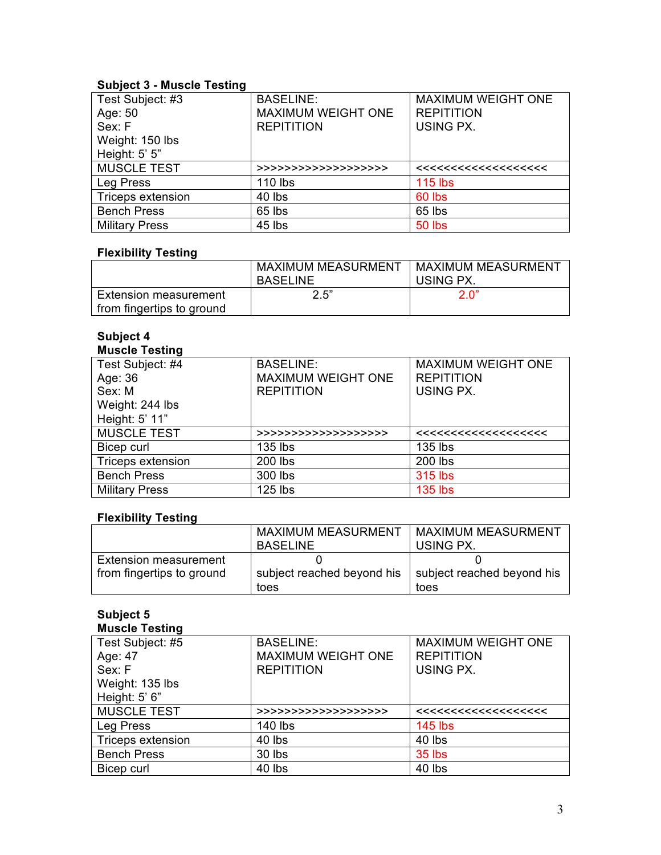# **Subject 3 - Muscle Testing**

| Test Subject: #3   | <b>BASELINE:</b>          | <b>MAXIMUM WEIGHT ONE</b> |
|--------------------|---------------------------|---------------------------|
| Age: 50            | <b>MAXIMUM WEIGHT ONE</b> | <b>REPITITION</b>         |
| Sex: F             | <b>REPITITION</b>         | USING PX.                 |
| Weight: 150 lbs    |                           |                           |
| Height: 5' 5"      |                           |                           |
|                    |                           |                           |
| <b>MUSCLE TEST</b> | >>>>>>>>>>>>>>>>>>>>>     |                           |
| Leg Press          | 110 lbs                   | $115$ lbs                 |
| Triceps extension  | 40 lbs                    | 60 lbs                    |
| <b>Bench Press</b> | 65 lbs                    | 65 lbs                    |

# **Flexibility Testing**

|                                                           | MAXIMUM MEASURMENT<br>BASELINE | <b>MAXIMUM MEASURMENT</b><br>USING PX. |
|-----------------------------------------------------------|--------------------------------|----------------------------------------|
| <b>Extension measurement</b><br>from fingertips to ground | 2.5"                           | 2 <sub>0</sub> "                       |

#### **Subject 4 Muscle Testing**

| Test Subject: #4         | <b>BASELINE:</b>          | <b>MAXIMUM WEIGHT ONE</b> |
|--------------------------|---------------------------|---------------------------|
| Age: 36                  | <b>MAXIMUM WEIGHT ONE</b> | <b>REPITITION</b>         |
| Sex: M                   | <b>REPITITION</b>         | USING PX.                 |
| Weight: 244 lbs          |                           |                           |
| Height: 5' 11"           |                           |                           |
| <b>MUSCLE TEST</b>       | >>>>>>>>>>>>>>>>>>>>>     |                           |
| Bicep curl               | 135 lbs                   | 135 lbs                   |
| <b>Triceps extension</b> | 200 lbs                   | 200 lbs                   |
| <b>Bench Press</b>       | 300 lbs                   | 315 lbs                   |
| <b>Military Press</b>    | 125 lbs                   | <b>135 lbs</b>            |

# **Flexibility Testing**

|                              | <b>MAXIMUM MEASURMENT</b><br><b>BASELINE</b> | <b>MAXIMUM MEASURMENT</b><br>USING PX. |
|------------------------------|----------------------------------------------|----------------------------------------|
| <b>Extension measurement</b> |                                              |                                        |
| from fingertips to ground    | subject reached beyond his                   | subject reached beyond his             |
|                              | toes                                         | toes                                   |

#### **Subject 5 Muscle Testing**

| Test Subject: #5         | <b>BASELINE:</b>          | <b>MAXIMUM WEIGHT ONE</b> |
|--------------------------|---------------------------|---------------------------|
| Age: 47                  | <b>MAXIMUM WEIGHT ONE</b> | <b>REPITITION</b>         |
| Sex: F                   | <b>REPITITION</b>         | USING PX.                 |
| Weight: 135 lbs          |                           |                           |
| Height: 5' 6"            |                           |                           |
| <b>MUSCLE TEST</b>       | >>>>>>>>>>>>>>>>>>>>>     |                           |
| Leg Press                | 140 lbs                   | <b>145 lbs</b>            |
| <b>Triceps extension</b> | 40 lbs                    | 40 lbs                    |
| <b>Bench Press</b>       | 30 lbs                    | 35 lbs                    |
| Bicep curl               | 40 lbs                    | 40 lbs                    |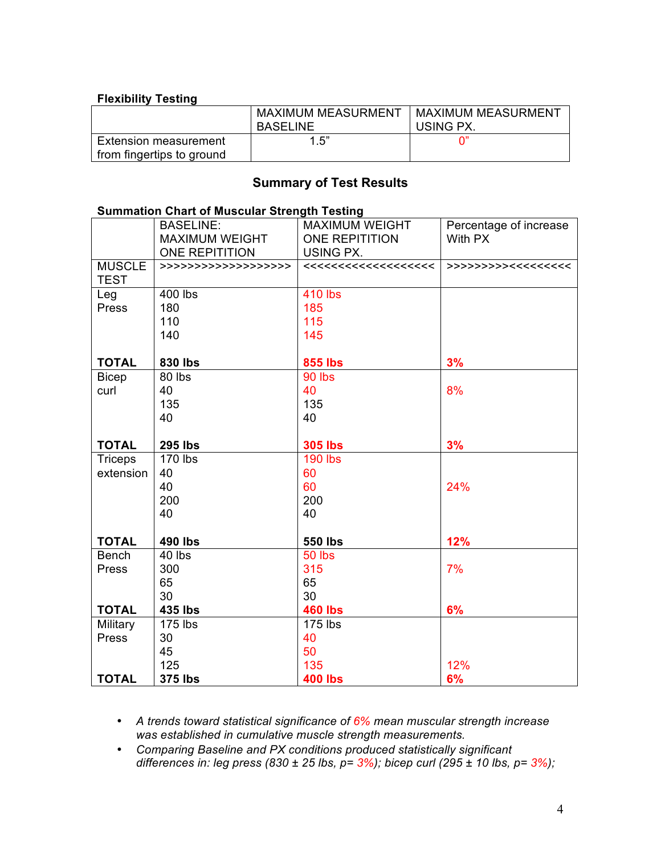# **Flexibility Testing**

|                              | <b>MAXIMUM MEASURMENT</b><br><b>BASELINE</b> | <b>MAXIMUM MEASURMENT</b><br>USING PX. |
|------------------------------|----------------------------------------------|----------------------------------------|
| <b>Extension measurement</b> | 1.5"                                         |                                        |
| from fingertips to ground    |                                              |                                        |

# **Summary of Test Results**

# **Summation Chart of Muscular Strength Testing**

|                | <b>BASELINE:</b>      | <b>MAXIMUM WEIGHT</b> | Percentage of increase |
|----------------|-----------------------|-----------------------|------------------------|
|                | <b>MAXIMUM WEIGHT</b> | <b>ONE REPITITION</b> | With PX                |
|                | <b>ONE REPITITION</b> | USING PX.             |                        |
| <b>MUSCLE</b>  | >>>>>>>>>>>>>>>>>>>>  |                       | >>>>>>>>>>>><<<<<<     |
| <b>TEST</b>    |                       |                       |                        |
| Leg            | 400 lbs               | 410 lbs               |                        |
| Press          | 180                   | 185                   |                        |
|                | 110                   | 115                   |                        |
|                | 140                   | 145                   |                        |
|                |                       |                       |                        |
| <b>TOTAL</b>   | 830 lbs               | <b>855 lbs</b>        | 3%                     |
| <b>Bicep</b>   | 80 lbs                | 90 lbs                |                        |
| curl           | 40                    | 40                    | 8%                     |
|                | 135                   | 135                   |                        |
|                | 40                    | 40                    |                        |
|                |                       |                       |                        |
| <b>TOTAL</b>   | <b>295 lbs</b>        | <b>305 lbs</b>        | 3%                     |
| <b>Triceps</b> | 170 lbs               | <b>190 lbs</b>        |                        |
| extension      | 40                    | 60                    |                        |
|                | 40                    | 60                    | 24%                    |
|                | 200                   | 200                   |                        |
|                | 40                    | 40                    |                        |
|                |                       |                       |                        |
| <b>TOTAL</b>   | 490 lbs               | <b>550 lbs</b>        | 12%                    |
| <b>Bench</b>   | 40 lbs                | 50 lbs                |                        |
| Press          | 300                   | 315                   | 7%                     |
|                | 65                    | 65                    |                        |
|                | 30                    | 30                    |                        |
| <b>TOTAL</b>   | 435 lbs               | <b>460 lbs</b>        | 6%                     |
| Military       | 175 lbs               | 175 lbs               |                        |
| Press          | 30                    | 40                    |                        |
|                | 45                    | 50                    |                        |
|                | 125                   | 135                   | 12%                    |
| <b>TOTAL</b>   | <b>375 lbs</b>        | <b>400 lbs</b>        | 6%                     |

• *A trends toward statistical significance of 6% mean muscular strength increase was established in cumulative muscle strength measurements.*

• *Comparing Baseline and PX conditions produced statistically significant differences in: leg press (830 ± 25 lbs, p= 3%); bicep curl (295 ± 10 lbs, p= 3%);*